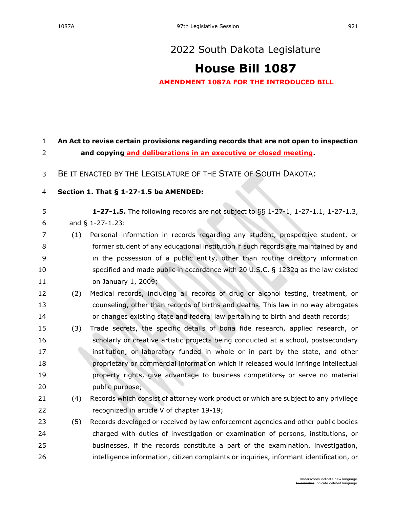## **[House Bill 1087](https://sdlegislature.gov/Session/Bill/22746)**

**AMENDMENT 1087A FOR THE INTRODUCED BILL**

| $\mathbf{1}$             | An Act to revise certain provisions regarding records that are not open to inspection |                                                                                              |  |  |  |
|--------------------------|---------------------------------------------------------------------------------------|----------------------------------------------------------------------------------------------|--|--|--|
| $\overline{2}$           | and copying and deliberations in an executive or closed meeting.                      |                                                                                              |  |  |  |
| 3                        |                                                                                       | BE IT ENACTED BY THE LEGISLATURE OF THE STATE OF SOUTH DAKOTA:                               |  |  |  |
| $\overline{\mathcal{L}}$ |                                                                                       | Section 1. That § 1-27-1.5 be AMENDED:                                                       |  |  |  |
| 5                        |                                                                                       | <b>1-27-1.5.</b> The following records are not subject to $\S$ § 1-27-1, 1-27-1.1, 1-27-1.3, |  |  |  |
| 6                        |                                                                                       | and § 1-27-1.23:                                                                             |  |  |  |
| 7                        | (1)                                                                                   | Personal information in records regarding any student, prospective student, or               |  |  |  |
| 8                        |                                                                                       | former student of any educational institution if such records are maintained by and          |  |  |  |
| 9                        |                                                                                       | in the possession of a public entity, other than routine directory information               |  |  |  |
| 10                       |                                                                                       | specified and made public in accordance with 20 U.S.C. § 1232g as the law existed            |  |  |  |
| 11                       |                                                                                       | on January 1, 2009;                                                                          |  |  |  |
| 12                       | (2)                                                                                   | Medical records, including all records of drug or alcohol testing, treatment, or             |  |  |  |
| 13                       |                                                                                       | counseling, other than records of births and deaths. This law in no way abrogates            |  |  |  |
| 14                       |                                                                                       | or changes existing state and federal law pertaining to birth and death records;             |  |  |  |
| 15                       | (3)                                                                                   | Trade secrets, the specific details of bona fide research, applied research, or              |  |  |  |
| 16                       |                                                                                       | scholarly or creative artistic projects being conducted at a school, postsecondary           |  |  |  |
| 17                       |                                                                                       | institution, or laboratory funded in whole or in part by the state, and other                |  |  |  |
| 18                       |                                                                                       | proprietary or commercial information which if released would infringe intellectual          |  |  |  |
| 19                       |                                                                                       | property rights, give advantage to business competitors, or serve no material                |  |  |  |
| 20                       |                                                                                       | public purpose;                                                                              |  |  |  |
| 21                       | (4)                                                                                   | Records which consist of attorney work product or which are subject to any privilege         |  |  |  |
| 22                       |                                                                                       | recognized in article V of chapter 19-19;                                                    |  |  |  |
| 23                       | (5)                                                                                   | Records developed or received by law enforcement agencies and other public bodies            |  |  |  |
| 24                       |                                                                                       | charged with duties of investigation or examination of persons, institutions, or             |  |  |  |
| 25                       |                                                                                       | businesses, if the records constitute a part of the examination, investigation,              |  |  |  |
| 26                       |                                                                                       | intelligence information, citizen complaints or inquiries, informant identification, or      |  |  |  |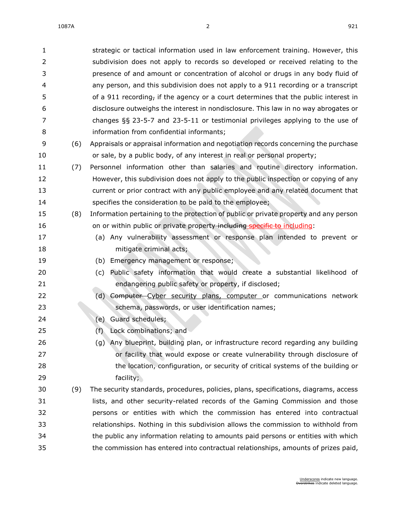| 1              |     | strategic or tactical information used in law enforcement training. However, this     |
|----------------|-----|---------------------------------------------------------------------------------------|
| $\overline{2}$ |     | subdivision does not apply to records so developed or received relating to the        |
| 3              |     | presence of and amount or concentration of alcohol or drugs in any body fluid of      |
| 4              |     | any person, and this subdivision does not apply to a 911 recording or a transcript    |
| 5              |     | of a 911 recording, if the agency or a court determines that the public interest in   |
| 6              |     | disclosure outweighs the interest in nondisclosure. This law in no way abrogates or   |
| 7              |     | changes $\S$ § 23-5-7 and 23-5-11 or testimonial privileges applying to the use of    |
| 8              |     | information from confidential informants;                                             |
| 9              | (6) | Appraisals or appraisal information and negotiation records concerning the purchase   |
| 10             |     | or sale, by a public body, of any interest in real or personal property;              |
| 11             | (7) | Personnel information other than salaries and routine directory information.          |
| 12             |     | However, this subdivision does not apply to the public inspection or copying of any   |
| 13             |     | current or prior contract with any public employee and any related document that      |
| 14             |     | specifies the consideration to be paid to the employee;                               |
| 15             | (8) | Information pertaining to the protection of public or private property and any person |
| 16             |     | on or within public or private property including specific to including:              |
| 17             |     | (a) Any vulnerability assessment or response plan intended to prevent or              |
| 18             |     | mitigate criminal acts;                                                               |
| 19             |     | Emergency management or response;<br>(b)                                              |
| 20             |     | Public safety information that would create a substantial likelihood of<br>(c)        |
| 21             |     | endangering public safety or property, if disclosed;                                  |
| 22             |     | Computer-Cyber security plans, computer or communications network<br>(d)              |
| 23             |     | schema, passwords, or user identification names;                                      |
| 24             |     | Guard schedules;<br>(e)                                                               |
| 25             |     | Lock combinations; and<br>(f)                                                         |
| 26             |     | (g) Any blueprint, building plan, or infrastructure record regarding any building     |
| 27             |     | or facility that would expose or create vulnerability through disclosure of           |
| 28             |     | the location, configuration, or security of critical systems of the building or       |
| 29             |     | facility;                                                                             |
| 30             | (9) | The security standards, procedures, policies, plans, specifications, diagrams, access |
| 31             |     | lists, and other security-related records of the Gaming Commission and those          |
| 32             |     | persons or entities with which the commission has entered into contractual            |
| 33             |     | relationships. Nothing in this subdivision allows the commission to withhold from     |
| 34             |     | the public any information relating to amounts paid persons or entities with which    |
| 35             |     | the commission has entered into contractual relationships, amounts of prizes paid,    |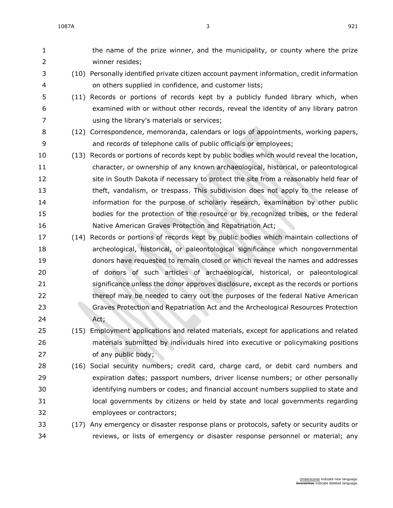the name of the prize winner, and the municipality, or county where the prize winner resides; (10) Personally identified private citizen account payment information, credit information on others supplied in confidence, and customer lists; (11) Records or portions of records kept by a publicly funded library which, when examined with or without other records, reveal the identity of any library patron using the library's materials or services; (12) Correspondence, memoranda, calendars or logs of appointments, working papers, and records of telephone calls of public officials or employees; (13) Records or portions of records kept by public bodies which would reveal the location, character, or ownership of any known archaeological, historical, or paleontological site in South Dakota if necessary to protect the site from a reasonably held fear of theft, vandalism, or trespass. This subdivision does not apply to the release of information for the purpose of scholarly research, examination by other public bodies for the protection of the resource or by recognized tribes, or the federal Native American Graves Protection and Repatriation Act; (14) Records or portions of records kept by public bodies which maintain collections of archeological, historical, or paleontological significance which nongovernmental donors have requested to remain closed or which reveal the names and addresses of donors of such articles of archaeological, historical, or paleontological significance unless the donor approves disclosure, except as the records or portions thereof may be needed to carry out the purposes of the federal Native American Graves Protection and Repatriation Act and the Archeological Resources Protection Act; (15) Employment applications and related materials, except for applications and related materials submitted by individuals hired into executive or policymaking positions of any public body; (16) Social security numbers; credit card, charge card, or debit card numbers and expiration dates; passport numbers, driver license numbers; or other personally identifying numbers or codes; and financial account numbers supplied to state and local governments by citizens or held by state and local governments regarding employees or contractors; (17) Any emergency or disaster response plans or protocols, safety or security audits or reviews, or lists of emergency or disaster response personnel or material; any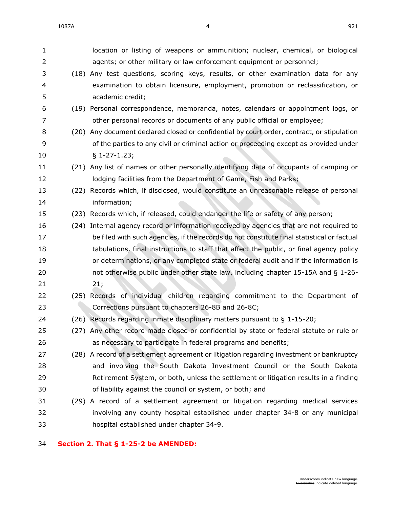| 1              |      | location or listing of weapons or ammunition; nuclear, chemical, or biological             |
|----------------|------|--------------------------------------------------------------------------------------------|
| $\overline{2}$ |      | agents; or other military or law enforcement equipment or personnel;                       |
| 3              |      | (18) Any test questions, scoring keys, results, or other examination data for any          |
| 4              |      | examination to obtain licensure, employment, promotion or reclassification, or             |
| 5              |      | academic credit;                                                                           |
| 6              |      | (19) Personal correspondence, memoranda, notes, calendars or appointment logs, or          |
| 7              |      | other personal records or documents of any public official or employee;                    |
| 8              |      | (20) Any document declared closed or confidential by court order, contract, or stipulation |
| 9              |      | of the parties to any civil or criminal action or proceeding except as provided under      |
| 10             |      | $§ 1-27-1.23;$                                                                             |
| 11             |      | (21) Any list of names or other personally identifying data of occupants of camping or     |
| 12             |      | lodging facilities from the Department of Game, Fish and Parks;                            |
| 13             | (22) | Records which, if disclosed, would constitute an unreasonable release of personal          |
| 14             |      | information;                                                                               |
| 15             |      | (23) Records which, if released, could endanger the life or safety of any person;          |
| 16             | (24) | Internal agency record or information received by agencies that are not required to        |
| 17             |      | be filed with such agencies, if the records do not constitute final statistical or factual |
| 18             |      | tabulations, final instructions to staff that affect the public, or final agency policy    |
| 19             |      | or determinations, or any completed state or federal audit and if the information is       |
| 20             |      | not otherwise public under other state law, including chapter 15-15A and § 1-26-           |
| 21             |      | 21;                                                                                        |
| 22             |      | (25) Records of individual children regarding commitment to the Department of              |
| 23             |      | Corrections pursuant to chapters 26-8B and 26-8C;                                          |
| 24             |      | (26) Records regarding inmate disciplinary matters pursuant to § 1-15-20;                  |
| 25             |      | (27) Any other record made closed or confidential by state or federal statute or rule or   |
| 26             |      | as necessary to participate in federal programs and benefits;                              |
| 27             |      | (28) A record of a settlement agreement or litigation regarding investment or bankruptcy   |
| 28             |      | and involving the South Dakota Investment Council or the South Dakota                      |
| 29             |      | Retirement System, or both, unless the settlement or litigation results in a finding       |
| 30             |      | of liability against the council or system, or both; and                                   |
| 31             |      | (29) A record of a settlement agreement or litigation regarding medical services           |
| 32             |      | involving any county hospital established under chapter 34-8 or any municipal              |
| 33             |      | hospital established under chapter 34-9.                                                   |

## **Section 2. That § [1-25-2](https://sdlegislature.gov/Statutes?Statute=1-25-2) be AMENDED:**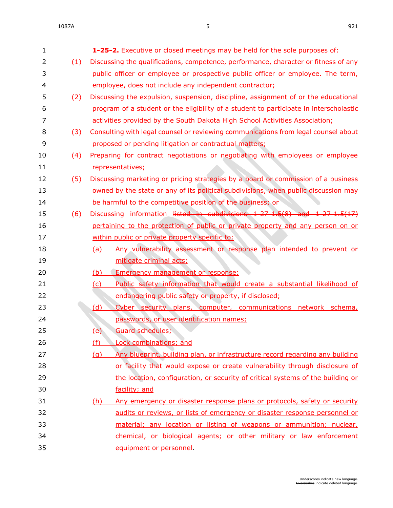| 1  |     | <b>1-25-2.</b> Executive or closed meetings may be held for the sole purposes of:      |
|----|-----|----------------------------------------------------------------------------------------|
| 2  | (1) | Discussing the qualifications, competence, performance, character or fitness of any    |
| 3  |     | public officer or employee or prospective public officer or employee. The term,        |
| 4  |     | employee, does not include any independent contractor;                                 |
| 5  | (2) | Discussing the expulsion, suspension, discipline, assignment of or the educational     |
| 6  |     | program of a student or the eligibility of a student to participate in interscholastic |
| 7  |     | activities provided by the South Dakota High School Activities Association;            |
| 8  | (3) | Consulting with legal counsel or reviewing communications from legal counsel about     |
| 9  |     | proposed or pending litigation or contractual matters;                                 |
| 10 | (4) | Preparing for contract negotiations or negotiating with employees or employee          |
| 11 |     | representatives;                                                                       |
| 12 | (5) | Discussing marketing or pricing strategies by a board or commission of a business      |
| 13 |     | owned by the state or any of its political subdivisions, when public discussion may    |
| 14 |     | be harmful to the competitive position of the business; or                             |
| 15 | (6) | Discussing information listed in subdivisions 1-27-1.5(8) and 1-27-1.5(17)             |
| 16 |     | pertaining to the protection of public or private property and any person on or        |
| 17 |     | within public or private property specific to:                                         |
| 18 |     | Any vulnerability assessment or response plan intended to prevent or<br><u>(a)</u>     |
| 19 |     | mitigate criminal acts;                                                                |
| 20 |     | Emergency management or response;<br>(b)                                               |
| 21 |     | Public safety information that would create a substantial likelihood of<br>(c)         |
| 22 |     | endangering public safety or property, if disclosed;                                   |
| 23 |     | Cyber security plans, computer, communications network schema,<br><u>(d)</u>           |
| 24 |     | passwords, or user identification names;                                               |
| 25 |     | <u>(e)</u><br><b>Guard schedules;</b>                                                  |
| 26 |     | <b>Lock combinations; and</b><br>(f)                                                   |
| 27 |     | Any blueprint, building plan, or infrastructure record regarding any building<br>(q)   |
| 28 |     | or facility that would expose or create vulnerability through disclosure of            |
| 29 |     | the location, configuration, or security of critical systems of the building or        |
| 30 |     | facility; and                                                                          |
| 31 |     | Any emergency or disaster response plans or protocols, safety or security<br>(h)       |
| 32 |     | audits or reviews, or lists of emergency or disaster response personnel or             |
| 33 |     | material; any location or listing of weapons or ammunition; nuclear,                   |
| 34 |     | chemical, or biological agents; or other military or law enforcement                   |
| 35 |     | equipment or personnel.                                                                |